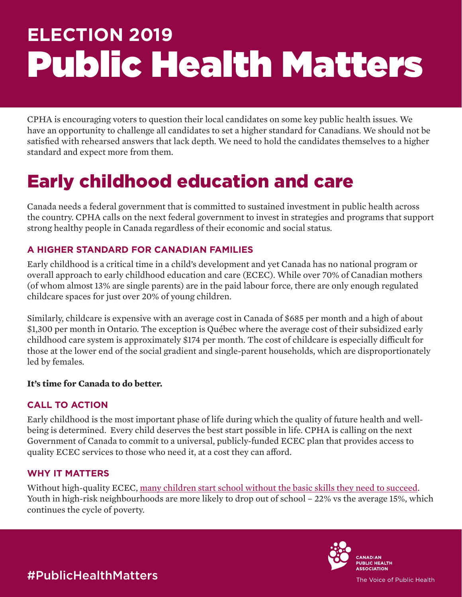# **ELECTION 2019** Public Health Matters

CPHA is encouraging voters to question their local candidates on some key public health issues. We have an opportunity to challenge all candidates to set a higher standard for Canadians. We should not be satisfied with rehearsed answers that lack depth. We need to hold the candidates themselves to a higher standard and expect more from them.

## Early childhood education and care

Canada needs a federal government that is committed to sustained investment in public health across the country. CPHA calls on the next federal government to invest in strategies and programs that support strong healthy people in Canada regardless of their economic and social status.

#### **A HIGHER STANDARD FOR CANADIAN FAMILIES**

Early childhood is a critical time in a child's development and yet Canada has no national program or overall approach to early childhood education and care (ECEC). While over 70% of Canadian mothers (of whom almost 13% are single parents) are in the paid labour force, there are only enough regulated childcare spaces for just over 20% of young children.

Similarly, childcare is expensive with an average cost in Canada of \$685 per month and a high of about \$1,300 per month in Ontario. The exception is Québec where the average cost of their subsidized early childhood care system is approximately \$174 per month. The cost of childcare is especially difficult for those at the lower end of the social gradient and single-parent households, which are disproportionately led by females.

#### **It's time for Canada to do better.**

#### **CALL TO ACTION**

Early childhood is the most important phase of life during which the quality of future health and wellbeing is determined. Every child deserves the best start possible in life. CPHA is calling on the next Government of Canada to commit to a universal, publicly-funded ECEC plan that provides access to quality ECEC services to those who need it, at a cost they can afford.

#### **WHY IT MATTERS**

Without high-quality ECEC, [many children start school without the basic skills they need to succeed.](https://www.unitedwayottawa.ca/what-we-do/all-that-kids-can-be/) Youth in high-risk neighbourhoods are more likely to drop out of school – 22% vs the average 15%, which continues the cycle of poverty.



#PublicHealthMatters

The Voice of Public Health